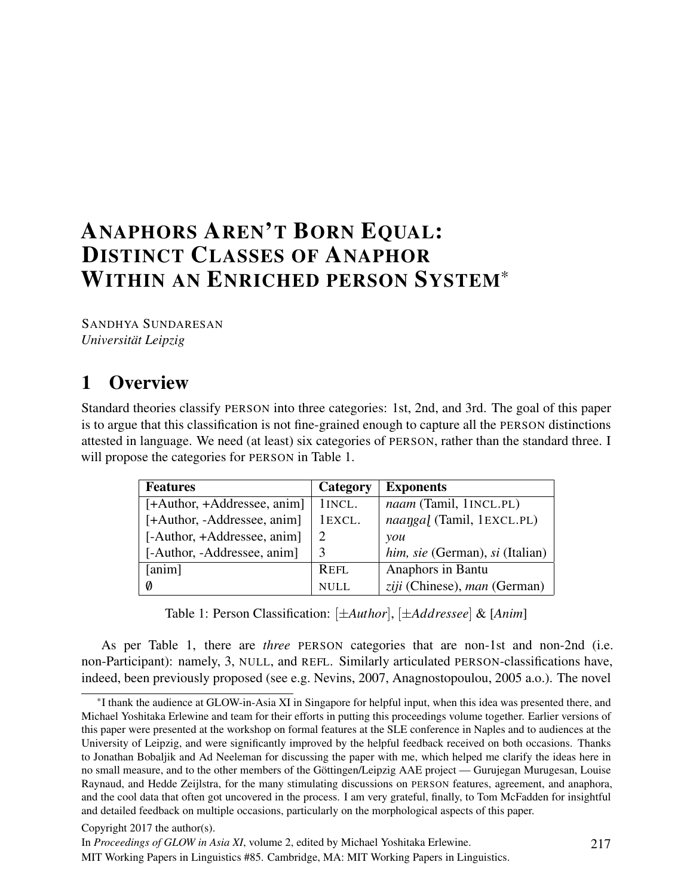# ANAPHORS AREN'T BORN EQUAL: DISTINCT CLASSES OF ANAPHOR WITHIN AN ENRICHED PERSON SYSTEM\*

SANDHYA SUNDARESAN *Universität Leipzig*

# 1 Overview

Standard theories classify PERSON into three categories: 1st, 2nd, and 3rd. The goal of this paper is to argue that this classification is not fine-grained enough to capture all the PERSON distinctions attested in language. We need (at least) six categories of PERSON, rather than the standard three. I will propose the categories for PERSON in Table 1.

| <b>Features</b>             | Category | <b>Exponents</b>                |
|-----------------------------|----------|---------------------------------|
| [+Author, +Addressee, anim] | 1 INCL.  | naam (Tamil, 1INCL.PL)          |
| [+Author, -Addressee, anim] | 1EXCL.   | naangal (Tamil, 1EXCL.PL)       |
| [-Author, +Addressee, anim] |          | you                             |
| [-Author, -Addressee, anim] |          | him, sie (German), si (Italian) |
| [anim]                      | REFL     | Anaphors in Bantu               |
| Ø                           | NULL.    | ziji (Chinese), man (German)    |

Table 1: Person Classification: [*±Author*], [*±Addressee*] & [*Anim*]

As per Table 1, there are *three* PERSON categories that are non-1st and non-2nd (i.e. non-Participant): namely, 3, NULL, and REFL. Similarly articulated PERSON-classifications have, indeed, been previously proposed (see e.g. Nevins, 2007, Anagnostopoulou, 2005 a.o.). The novel

MIT Working Papers in Linguistics #85. Cambridge, MA: MIT Working Papers in Linguistics.

<sup>\*</sup>I thank the audience at GLOW-in-Asia XI in Singapore for helpful input, when this idea was presented there, and Michael Yoshitaka Erlewine and team for their efforts in putting this proceedings volume together. Earlier versions of this paper were presented at the workshop on formal features at the SLE conference in Naples and to audiences at the University of Leipzig, and were significantly improved by the helpful feedback received on both occasions. Thanks to Jonathan Bobaljik and Ad Neeleman for discussing the paper with me, which helped me clarify the ideas here in no small measure, and to the other members of the Göttingen/Leipzig AAE project — Gurujegan Murugesan, Louise Raynaud, and Hedde Zeijlstra, for the many stimulating discussions on PERSON features, agreement, and anaphora, and the cool data that often got uncovered in the process. I am very grateful, finally, to Tom McFadden for insightful and detailed feedback on multiple occasions, particularly on the morphological aspects of this paper.

Copyright 2017 the author(s).

In *Proceedings of GLOW in Asia XI*, volume 2, edited by Michael Yoshitaka Erlewine.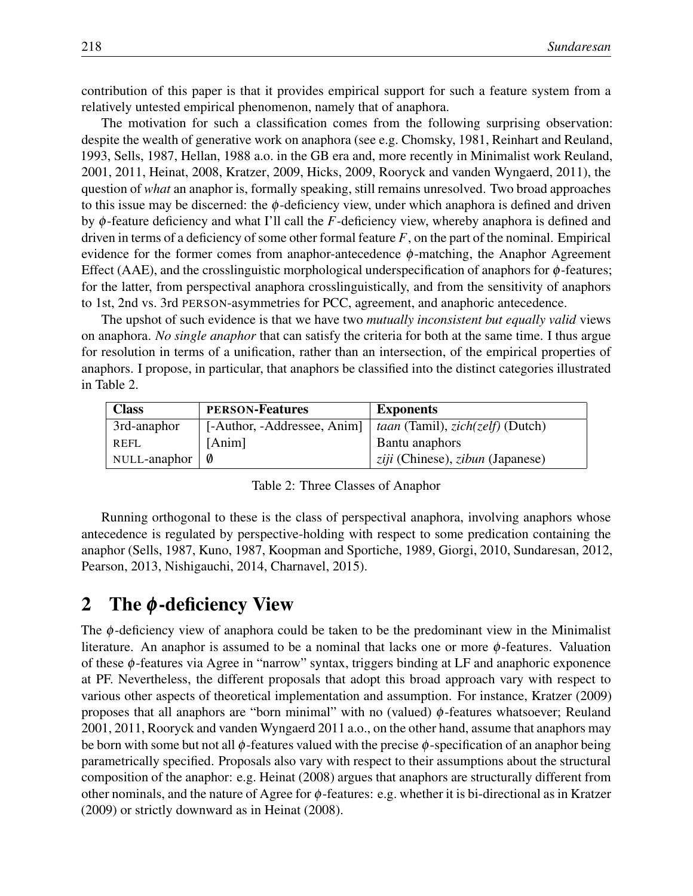contribution of this paper is that it provides empirical support for such a feature system from a relatively untested empirical phenomenon, namely that of anaphora.

The motivation for such a classification comes from the following surprising observation: despite the wealth of generative work on anaphora (see e.g. Chomsky, 1981, Reinhart and Reuland, 1993, Sells, 1987, Hellan, 1988 a.o. in the GB era and, more recently in Minimalist work Reuland, 2001, 2011, Heinat, 2008, Kratzer, 2009, Hicks, 2009, Rooryck and vanden Wyngaerd, 2011), the question of *what* an anaphor is, formally speaking, still remains unresolved. Two broad approaches to this issue may be discerned: the  $\phi$ -deficiency view, under which anaphora is defined and driven by φ-feature deficiency and what I'll call the *F*-deficiency view, whereby anaphora is defined and driven in terms of a deficiency of some other formal feature  $F$ , on the part of the nominal. Empirical evidence for the former comes from anaphor-antecedence  $\phi$ -matching, the Anaphor Agreement Effect (AAE), and the crosslinguistic morphological underspecification of anaphors for  $\phi$ -features; for the latter, from perspectival anaphora crosslinguistically, and from the sensitivity of anaphors to 1st, 2nd vs. 3rd PERSON-asymmetries for PCC, agreement, and anaphoric antecedence.

The upshot of such evidence is that we have two *mutually inconsistent but equally valid* views on anaphora. *No single anaphor* that can satisfy the criteria for both at the same time. I thus argue for resolution in terms of a unification, rather than an intersection, of the empirical properties of anaphors. I propose, in particular, that anaphors be classified into the distinct categories illustrated in Table 2.

| <b>Class</b> | <b>PERSON-Features</b>      | <b>Exponents</b>                                         |
|--------------|-----------------------------|----------------------------------------------------------|
| 3rd-anaphor  | [-Author, -Addressee, Anim] | <i>taan</i> (Tamil), <i>zich</i> ( <i>zelf</i> ) (Dutch) |
| <b>REFL</b>  | [Anim]                      | Bantu anaphors                                           |
| NULL-anaphor | - 0                         | ziji (Chinese), zibun (Japanese)                         |

Table 2: Three Classes of Anaphor

Running orthogonal to these is the class of perspectival anaphora, involving anaphors whose antecedence is regulated by perspective-holding with respect to some predication containing the anaphor (Sells, 1987, Kuno, 1987, Koopman and Sportiche, 1989, Giorgi, 2010, Sundaresan, 2012, Pearson, 2013, Nishigauchi, 2014, Charnavel, 2015).

## 2 The  $\phi$ -deficiency View

The  $\phi$ -deficiency view of anaphora could be taken to be the predominant view in the Minimalist literature. An anaphor is assumed to be a nominal that lacks one or more  $\phi$ -features. Valuation of these φ-features via Agree in "narrow" syntax, triggers binding at LF and anaphoric exponence at PF. Nevertheless, the different proposals that adopt this broad approach vary with respect to various other aspects of theoretical implementation and assumption. For instance, Kratzer (2009) proposes that all anaphors are "born minimal" with no (valued)  $\phi$ -features whatsoever; Reuland 2001, 2011, Rooryck and vanden Wyngaerd 2011 a.o., on the other hand, assume that anaphors may be born with some but not all  $\phi$ -features valued with the precise  $\phi$ -specification of an anaphor being parametrically specified. Proposals also vary with respect to their assumptions about the structural composition of the anaphor: e.g. Heinat (2008) argues that anaphors are structurally different from other nominals, and the nature of Agree for  $\phi$ -features: e.g. whether it is bi-directional as in Kratzer (2009) or strictly downward as in Heinat (2008).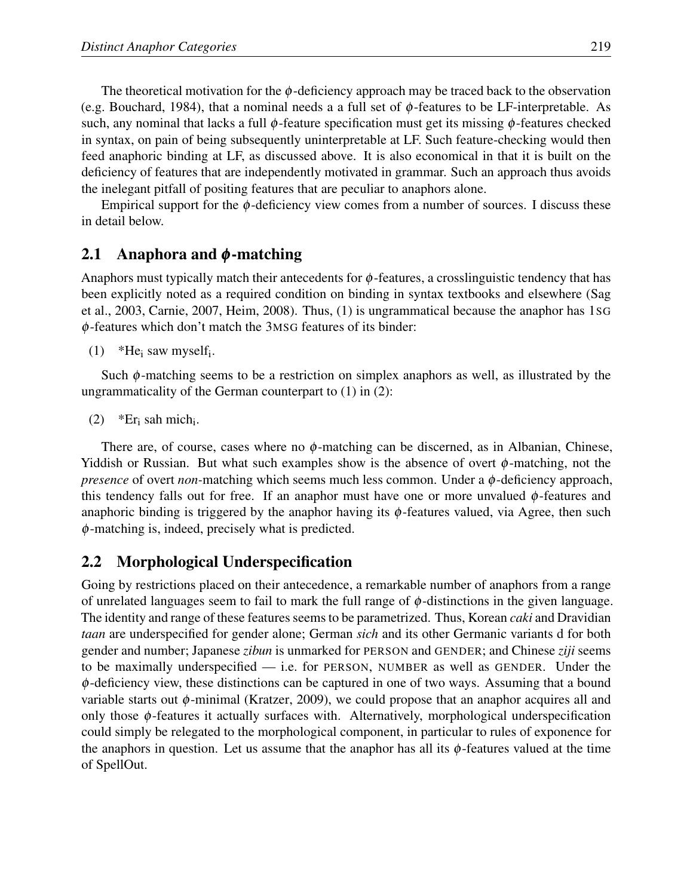The theoretical motivation for the  $\phi$ -deficiency approach may be traced back to the observation (e.g. Bouchard, 1984), that a nominal needs a a full set of  $\phi$ -features to be LF-interpretable. As such, any nominal that lacks a full  $\phi$ -feature specification must get its missing  $\phi$ -features checked in syntax, on pain of being subsequently uninterpretable at LF. Such feature-checking would then feed anaphoric binding at LF, as discussed above. It is also economical in that it is built on the deficiency of features that are independently motivated in grammar. Such an approach thus avoids the inelegant pitfall of positing features that are peculiar to anaphors alone.

Empirical support for the  $\phi$ -deficiency view comes from a number of sources. I discuss these in detail below.

### 2.1 Anaphora and  $\phi$ -matching

Anaphors must typically match their antecedents for  $\phi$ -features, a crosslinguistic tendency that has been explicitly noted as a required condition on binding in syntax textbooks and elsewhere (Sag et al., 2003, Carnie, 2007, Heim, 2008). Thus, (1) is ungrammatical because the anaphor has 1SG φ-features which don't match the 3MSG features of its binder:

(1) \*He<sub>i</sub> saw myself<sub>i</sub>.

Such  $\phi$ -matching seems to be a restriction on simplex anaphors as well, as illustrated by the ungrammaticality of the German counterpart to (1) in (2):

(2) \*Er<sub>i</sub> sah mich<sub>i</sub>.

There are, of course, cases where no  $\phi$ -matching can be discerned, as in Albanian, Chinese, Yiddish or Russian. But what such examples show is the absence of overt  $\phi$ -matching, not the *presence* of overt *non*-matching which seems much less common. Under a φ-deficiency approach, this tendency falls out for free. If an anaphor must have one or more unvalued  $\phi$ -features and anaphoric binding is triggered by the anaphor having its  $\phi$ -features valued, via Agree, then such φ-matching is, indeed, precisely what is predicted.

### 2.2 Morphological Underspecification

Going by restrictions placed on their antecedence, a remarkable number of anaphors from a range of unrelated languages seem to fail to mark the full range of  $\phi$ -distinctions in the given language. The identity and range of these features seems to be parametrized. Thus, Korean *caki* and Dravidian *taan* are underspecified for gender alone; German *sich* and its other Germanic variants d for both gender and number; Japanese *zibun* is unmarked for PERSON and GENDER; and Chinese *ziji* seems to be maximally underspecified — i.e. for PERSON, NUMBER as well as GENDER. Under the  $\phi$ -deficiency view, these distinctions can be captured in one of two ways. Assuming that a bound variable starts out φ-minimal (Kratzer, 2009), we could propose that an anaphor acquires all and only those  $\phi$ -features it actually surfaces with. Alternatively, morphological underspecification could simply be relegated to the morphological component, in particular to rules of exponence for the anaphors in question. Let us assume that the anaphor has all its  $\phi$ -features valued at the time of SpellOut.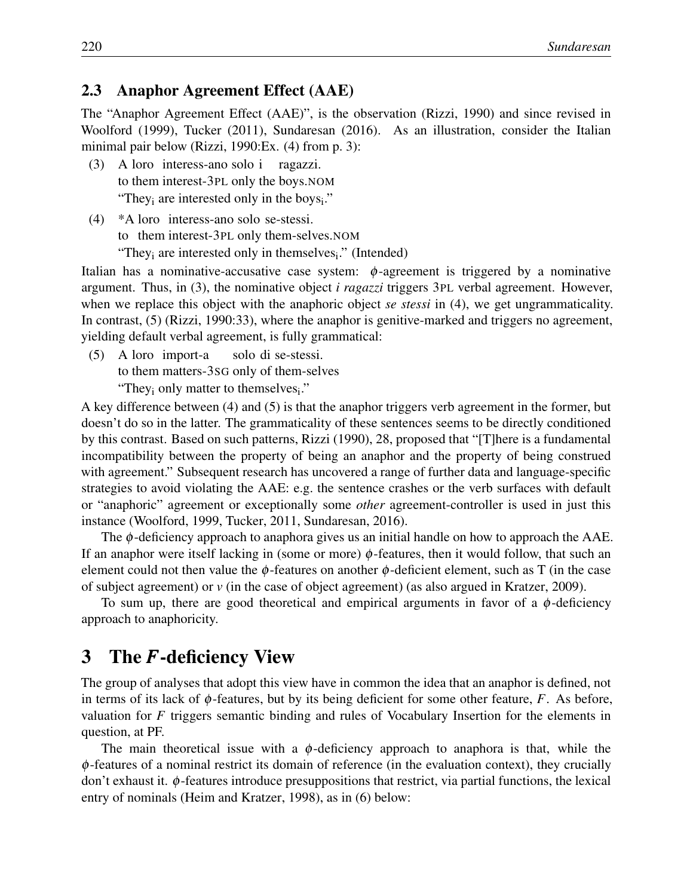#### 2.3 Anaphor Agreement Effect (AAE)

The "Anaphor Agreement Effect (AAE)", is the observation (Rizzi, 1990) and since revised in Woolford (1999), Tucker (2011), Sundaresan (2016). As an illustration, consider the Italian minimal pair below (Rizzi, 1990:Ex. (4) from p. 3):

- $(3)$ to them interest-3PL only the boys.NOM loro interess-ano solo i ragazzi. "They<sub>i</sub> are interested only in the boys<sub>i</sub>."
- (4) \*A loro interess-ano solo se-stessi. to them interest-3PL only them-selves.NOM "They<sub>i</sub> are interested only in themselves<sub>i</sub>." (Intended)

Italian has a nominative-accusative case system:  $\phi$ -agreement is triggered by a nominative argument. Thus, in (3), the nominative object *i ragazzi* triggers 3PL verbal agreement. However, when we replace this object with the anaphoric object *se stessi* in (4), we get ungrammaticality. In contrast, (5) (Rizzi, 1990:33), where the anaphor is genitive-marked and triggers no agreement, yielding default verbal agreement, is fully grammatical:

 $(5)$ loro import-a solo di se-stessi.

to them matters-3SG only of them-selves

"They<sub>i</sub> only matter to themselves<sub>i</sub>."

A key difference between (4) and (5) is that the anaphor triggers verb agreement in the former, but doesn't do so in the latter. The grammaticality of these sentences seems to be directly conditioned by this contrast. Based on such patterns, Rizzi (1990), 28, proposed that "[T]here is a fundamental incompatibility between the property of being an anaphor and the property of being construed with agreement." Subsequent research has uncovered a range of further data and language-specific strategies to avoid violating the AAE: e.g. the sentence crashes or the verb surfaces with default or "anaphoric" agreement or exceptionally some *other* agreement-controller is used in just this instance (Woolford, 1999, Tucker, 2011, Sundaresan, 2016).

The  $\phi$ -deficiency approach to anaphora gives us an initial handle on how to approach the AAE. If an anaphor were itself lacking in (some or more)  $\phi$ -features, then it would follow, that such an element could not then value the  $\phi$ -features on another  $\phi$ -deficient element, such as T (in the case of subject agreement) or *v* (in the case of object agreement) (as also argued in Kratzer, 2009).

To sum up, there are good theoretical and empirical arguments in favor of a  $\phi$ -deficiency approach to anaphoricity.

## 3 The *F*-deficiency View

The group of analyses that adopt this view have in common the idea that an anaphor is defined, not in terms of its lack of  $\phi$ -features, but by its being deficient for some other feature,  $F$ . As before, valuation for *F* triggers semantic binding and rules of Vocabulary Insertion for the elements in question, at PF.

The main theoretical issue with a  $\phi$ -deficiency approach to anaphora is that, while the φ-features of a nominal restrict its domain of reference (in the evaluation context), they crucially don't exhaust it. φ-features introduce presuppositions that restrict, via partial functions, the lexical entry of nominals (Heim and Kratzer, 1998), as in (6) below: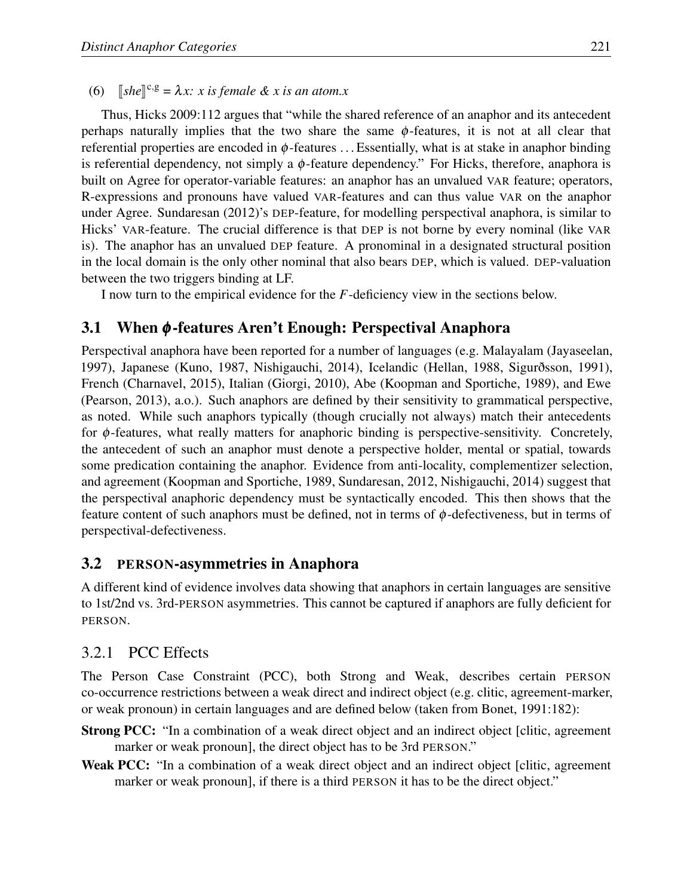(6)  $\int \delta f \, d\mathbf{r} \, d\mathbf{r} = \lambda x$ : *x* is female & *x* is an atom.*x* 

Thus, Hicks 2009:112 argues that "while the shared reference of an anaphor and its antecedent perhaps naturally implies that the two share the same  $\phi$ -features, it is not at all clear that referential properties are encoded in  $\phi$ -features ... Essentially, what is at stake in anaphor binding is referential dependency, not simply a  $\phi$ -feature dependency." For Hicks, therefore, anaphora is built on Agree for operator-variable features: an anaphor has an unvalued VAR feature; operators, R-expressions and pronouns have valued VAR-features and can thus value VAR on the anaphor under Agree. Sundaresan (2012)'s DEP-feature, for modelling perspectival anaphora, is similar to Hicks' VAR-feature. The crucial difference is that DEP is not borne by every nominal (like VAR is). The anaphor has an unvalued DEP feature. A pronominal in a designated structural position in the local domain is the only other nominal that also bears DEP, which is valued. DEP-valuation between the two triggers binding at LF.

I now turn to the empirical evidence for the *F*-deficiency view in the sections below.

## 3.1 When φ -features Aren't Enough: Perspectival Anaphora

Perspectival anaphora have been reported for a number of languages (e.g. Malayalam (Jayaseelan, 1997), Japanese (Kuno, 1987, Nishigauchi, 2014), Icelandic (Hellan, 1988, Sigurðsson, 1991), French (Charnavel, 2015), Italian (Giorgi, 2010), Abe (Koopman and Sportiche, 1989), and Ewe (Pearson, 2013), a.o.). Such anaphors are defined by their sensitivity to grammatical perspective, as noted. While such anaphors typically (though crucially not always) match their antecedents for  $\phi$ -features, what really matters for anaphoric binding is perspective-sensitivity. Concretely, the antecedent of such an anaphor must denote a perspective holder, mental or spatial, towards some predication containing the anaphor. Evidence from anti-locality, complementizer selection, and agreement (Koopman and Sportiche, 1989, Sundaresan, 2012, Nishigauchi, 2014) suggest that the perspectival anaphoric dependency must be syntactically encoded. This then shows that the feature content of such anaphors must be defined, not in terms of  $\phi$ -defectiveness, but in terms of perspectival-defectiveness.

### 3.2 PERSON-asymmetries in Anaphora

A different kind of evidence involves data showing that anaphors in certain languages are sensitive to 1st/2nd vs. 3rd-PERSON asymmetries. This cannot be captured if anaphors are fully deficient for PERSON.

### 3.2.1 PCC Effects

The Person Case Constraint (PCC), both Strong and Weak, describes certain PERSON co-occurrence restrictions between a weak direct and indirect object (e.g. clitic, agreement-marker, or weak pronoun) in certain languages and are defined below (taken from Bonet, 1991:182):

- Strong PCC: "In a combination of a weak direct object and an indirect object [clitic, agreement marker or weak pronoun], the direct object has to be 3rd PERSON."
- Weak PCC: "In a combination of a weak direct object and an indirect object [clitic, agreement marker or weak pronoun], if there is a third PERSON it has to be the direct object."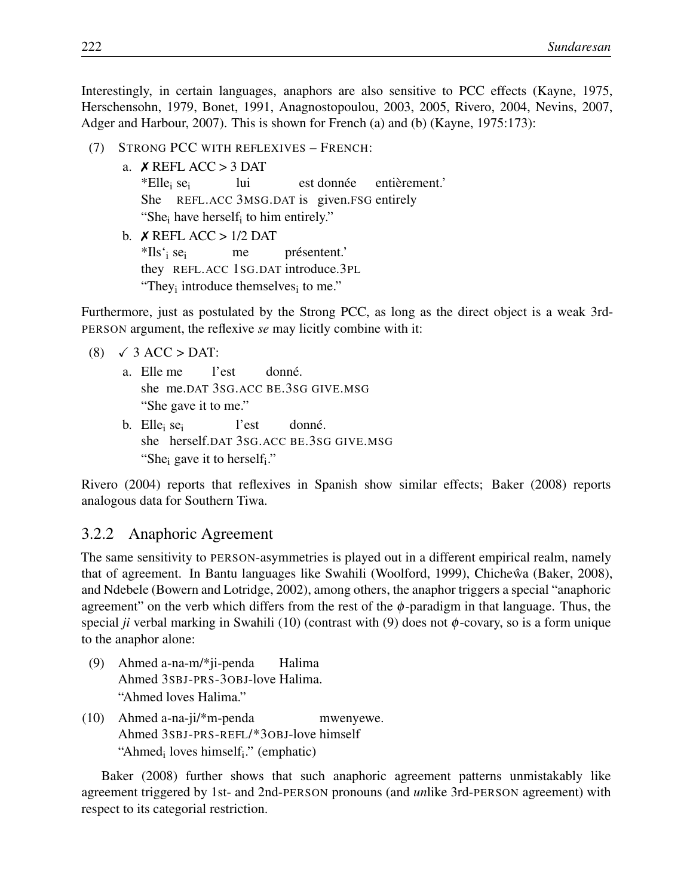Interestingly, in certain languages, anaphors are also sensitive to PCC effects (Kayne, 1975, Herschensohn, 1979, Bonet, 1991, Anagnostopoulou, 2003, 2005, Rivero, 2004, Nevins, 2007, Adger and Harbour, 2007). This is shown for French (a) and (b) (Kayne, 1975:173):

- (7) STRONG PCC WITH REFLEXIVES FRENCH:
	- a. ✗ REFL ACC > 3 DAT \*Ellei sei She REFL.ACC 3MSG.DAT is given.FSG entirely lui est donnée entièrement.' "She<sub>i</sub> have herself<sub>i</sub> to him entirely."
	- b.  $X$  REFL ACC  $> 1/2$  DAT \*Ils'i sei they REFL.ACC 1SG.DAT introduce.3PL me présentent.' "They $_i$  introduce themselves $_i$  to me."

Furthermore, just as postulated by the Strong PCC, as long as the direct object is a weak 3rd-PERSON argument, the reflexive *se* may licitly combine with it:

- $(8) \quad \checkmark$  3 ACC > DAT:
	- a. Elle me she me.DAT 3SG.ACC BE.3SG GIVE.MSG l'est donné. "She gave it to me."
	- b. Elle<sub>i</sub> se<sub>i</sub> she herself.DAT 3SG.ACC BE.3SG GIVE.MSG l'est donné. "She<sub>i</sub> gave it to herself<sub>i</sub>."

Rivero (2004) reports that reflexives in Spanish show similar effects; Baker (2008) reports analogous data for Southern Tiwa.

#### 3.2.2 Anaphoric Agreement

The same sensitivity to PERSON-asymmetries is played out in a different empirical realm, namely that of agreement. In Bantu languages like Swahili (Woolford, 1999), Chicheŵa (Baker, 2008), and Ndebele (Bowern and Lotridge, 2002), among others, the anaphor triggers a special "anaphoric agreement" on the verb which differs from the rest of the  $\phi$ -paradigm in that language. Thus, the special *ji* verbal marking in Swahili (10) (contrast with (9) does not  $\phi$ -covary, so is a form unique to the anaphor alone:

- (9) Ahmed a-na-m/\*ji-penda Ahmed 3SBJ-PRS-3OBJ-love Halima. Halima "Ahmed loves Halima."
- (10) Ahmed a-na-ji/\*m-penda Ahmed 3SBJ-PRS-REFL/\*3OBJ-love himself mwenyewe. "Ahmed<sub>i</sub> loves himself<sub>i</sub>." (emphatic)

Baker (2008) further shows that such anaphoric agreement patterns unmistakably like agreement triggered by 1st- and 2nd-PERSON pronouns (and *un*like 3rd-PERSON agreement) with respect to its categorial restriction.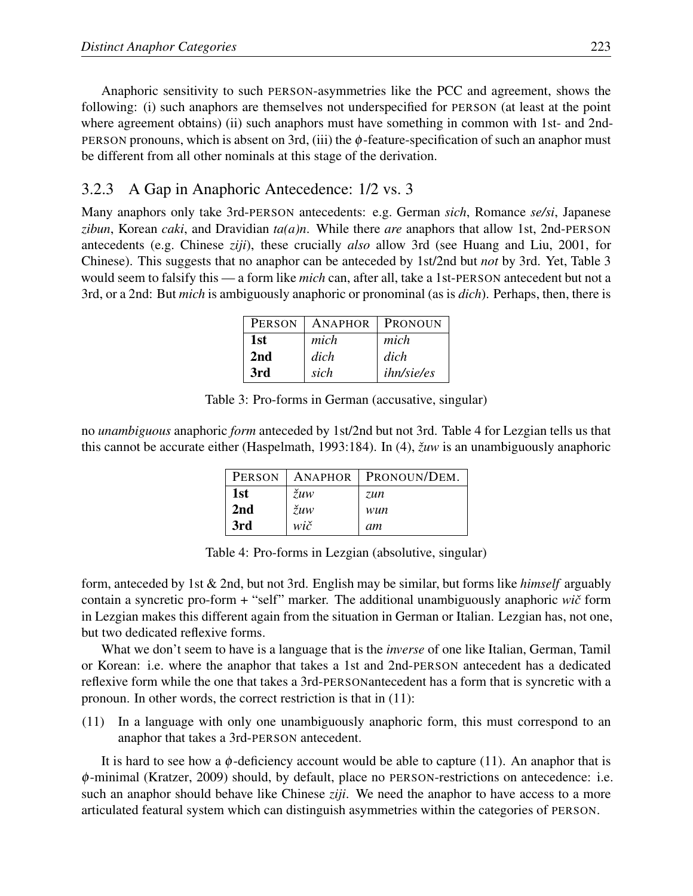Anaphoric sensitivity to such PERSON-asymmetries like the PCC and agreement, shows the following: (i) such anaphors are themselves not underspecified for PERSON (at least at the point where agreement obtains) (ii) such anaphors must have something in common with 1st- and 2nd-PERSON pronouns, which is absent on 3rd, (iii) the  $\phi$ -feature-specification of such an anaphor must be different from all other nominals at this stage of the derivation.

## 3.2.3 A Gap in Anaphoric Antecedence: 1/2 vs. 3

Many anaphors only take 3rd-PERSON antecedents: e.g. German *sich*, Romance *se/si*, Japanese *zibun*, Korean *caki*, and Dravidian *ta(a)n*. While there *are* anaphors that allow 1st, 2nd-PERSON antecedents (e.g. Chinese *ziji*), these crucially *also* allow 3rd (see Huang and Liu, 2001, for Chinese). This suggests that no anaphor can be anteceded by 1st/2nd but *not* by 3rd. Yet, Table 3 would seem to falsify this — a form like *mich* can, after all, take a 1st-PERSON antecedent but not a 3rd, or a 2nd: But *mich* is ambiguously anaphoric or pronominal (as is *dich*). Perhaps, then, there is

| PERSON | ANAPHOR | PRONOUN           |
|--------|---------|-------------------|
| 1st    | mich    | mich              |
| 2nd    | dich    | dich              |
| 3rd    | sich    | <i>ihn/sie/es</i> |

Table 3: Pro-forms in German (accusative, singular)

no *unambiguous* anaphoric *form* anteceded by 1st/2nd but not 3rd. Table 4 for Lezgian tells us that this cannot be accurate either (Haspelmath, 1993:184). In (4), *žuw* is an unambiguously anaphoric

| PERSON | ANAPHOR               | PRONOUN/DEM. |
|--------|-----------------------|--------------|
| 1st    | $\check{z}u\check{w}$ | zun          |
| 2nd    | $\check{z}uw$         | wun          |
| 3rd    | wič                   | am           |

Table 4: Pro-forms in Lezgian (absolutive, singular)

form, anteceded by 1st & 2nd, but not 3rd. English may be similar, but forms like *himself* arguably contain a syncretic pro-form + "self" marker. The additional unambiguously anaphoric *wiˇc* form in Lezgian makes this different again from the situation in German or Italian. Lezgian has, not one, but two dedicated reflexive forms.

What we don't seem to have is a language that is the *inverse* of one like Italian, German, Tamil or Korean: i.e. where the anaphor that takes a 1st and 2nd-PERSON antecedent has a dedicated reflexive form while the one that takes a 3rd-PERSONantecedent has a form that is syncretic with a pronoun. In other words, the correct restriction is that in (11):

(11) In a language with only one unambiguously anaphoric form, this must correspond to an anaphor that takes a 3rd-PERSON antecedent.

It is hard to see how a  $\phi$ -deficiency account would be able to capture (11). An anaphor that is φ-minimal (Kratzer, 2009) should, by default, place no PERSON-restrictions on antecedence: i.e. such an anaphor should behave like Chinese *ziji*. We need the anaphor to have access to a more articulated featural system which can distinguish asymmetries within the categories of PERSON.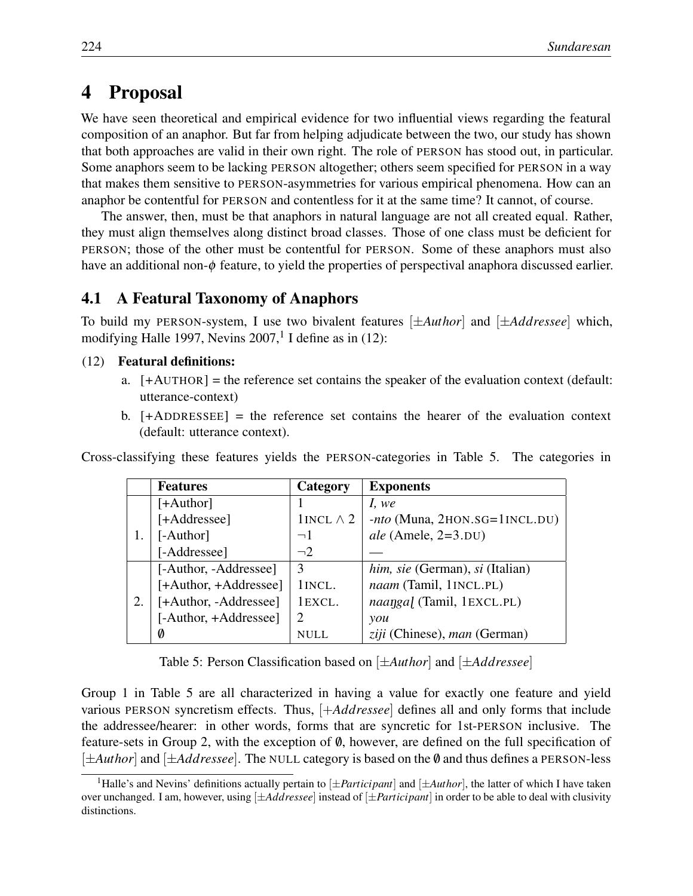## 4 Proposal

We have seen theoretical and empirical evidence for two influential views regarding the featural composition of an anaphor. But far from helping adjudicate between the two, our study has shown that both approaches are valid in their own right. The role of PERSON has stood out, in particular. Some anaphors seem to be lacking PERSON altogether; others seem specified for PERSON in a way that makes them sensitive to PERSON-asymmetries for various empirical phenomena. How can an anaphor be contentful for PERSON and contentless for it at the same time? It cannot, of course.

The answer, then, must be that anaphors in natural language are not all created equal. Rather, they must align themselves along distinct broad classes. Those of one class must be deficient for PERSON; those of the other must be contentful for PERSON. Some of these anaphors must also have an additional non- $\phi$  feature, to yield the properties of perspectival anaphora discussed earlier.

#### 4.1 A Featural Taxonomy of Anaphors

To build my PERSON-system, I use two bivalent features [*±Author*] and [*±Addressee*] which, modifying Halle 1997, Nevins  $2007$ , I define as in (12):

#### (12) Featural definitions:

- a.  $[+AUTHOR] =$  the reference set contains the speaker of the evaluation context (default: utterance-context)
- b.  $[+ADDRESSEE] =$  the reference set contains the hearer of the evaluation context (default: utterance context).

Cross-classifying these features yields the PERSON-categories in Table 5. The categories in

|    | <b>Features</b>       | Category          | <b>Exponents</b>                |
|----|-----------------------|-------------------|---------------------------------|
|    | $[+Author]$           |                   | I, we                           |
|    | [+Addressee]          | 1 INCL $\wedge$ 2 | $-nto$ (Muna, 2HON.SG=1INCL.DU) |
|    | [-Author]             | $\neg$ 1          | ale (Amele, $2=3.$ DU)          |
|    | [-Addressee]          | $\neg$ 2          |                                 |
|    | [-Author, -Addressee] | 3                 | him, sie (German), si (Italian) |
|    | [+Author, +Addressee] | 1INCL.            | naam (Tamil, 1INCL.PL)          |
| 2. | [+Author, -Addressee] | 1EXCL.            | naangal (Tamil, 1EXCL.PL)       |
|    | [-Author, +Addressee] |                   | you                             |
|    | Ø                     |                   | ziji (Chinese), man (German)    |

Table 5: Person Classification based on [*±Author*] and [*±Addressee*]

Group 1 in Table 5 are all characterized in having a value for exactly one feature and yield various PERSON syncretism effects. Thus, [+*Addressee*] defines all and only forms that include the addressee/hearer: in other words, forms that are syncretic for 1st-PERSON inclusive. The feature-sets in Group 2, with the exception of  $\emptyset$ , however, are defined on the full specification of [*±Author*] and [*±Addressee*]. The NULL category is based on the /0 and thus defines a PERSON-less

<sup>&</sup>lt;sup>1</sup>Halle's and Nevins' definitions actually pertain to  $[\pm Participant]$  and  $[\pm Author]$ , the latter of which I have taken over unchanged. I am, however, using [*±Addressee*] instead of [*±Participant*] in order to be able to deal with clusivity distinctions.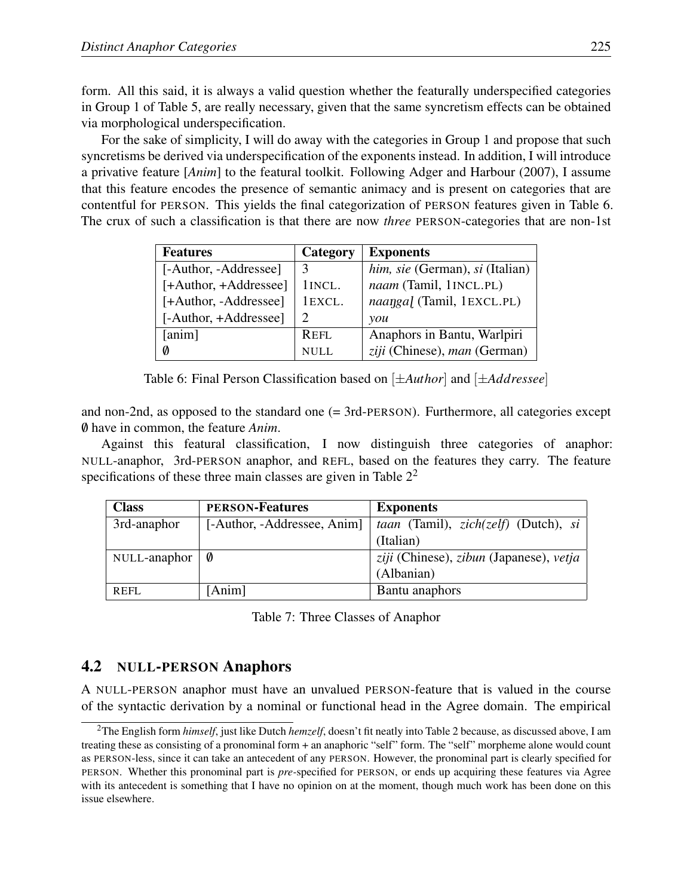form. All this said, it is always a valid question whether the featurally underspecified categories in Group 1 of Table 5, are really necessary, given that the same syncretism effects can be obtained via morphological underspecification.

For the sake of simplicity, I will do away with the categories in Group 1 and propose that such syncretisms be derived via underspecification of the exponents instead. In addition, I will introduce a privative feature [*Anim*] to the featural toolkit. Following Adger and Harbour (2007), I assume that this feature encodes the presence of semantic animacy and is present on categories that are contentful for PERSON. This yields the final categorization of PERSON features given in Table 6. The crux of such a classification is that there are now *three* PERSON-categories that are non-1st

| <b>Features</b>       | Category | <b>Exponents</b>                |
|-----------------------|----------|---------------------------------|
| [-Author, -Addressee] | 3        | him, sie (German), si (Italian) |
| [+Author, +Addressee] | 1INCL.   | naam (Tamil, 1INCL.PL)          |
| [+Author, -Addressee] | 1EXCL.   | naangal (Tamil, 1EXCL.PL)       |
| [-Author, +Addressee] |          | you                             |
| [anim]                | REFL     | Anaphors in Bantu, Warlpiri     |
| Ø                     | NULL.    | ziji (Chinese), man (German)    |

Table 6: Final Person Classification based on [*±Author*] and [*±Addressee*]

and non-2nd, as opposed to the standard one (= 3rd-PERSON). Furthermore, all categories except /0 have in common, the feature *Anim*.

Against this featural classification, I now distinguish three categories of anaphor: NULL-anaphor, 3rd-PERSON anaphor, and REFL, based on the features they carry. The feature specifications of these three main classes are given in Table  $2<sup>2</sup>$ 

| <b>Class</b> | <b>PERSON-Features</b>      | <b>Exponents</b>                                                    |
|--------------|-----------------------------|---------------------------------------------------------------------|
| 3rd-anaphor  | [-Author, -Addressee, Anim] | <i>taan</i> (Tamil), <i>zich</i> ( <i>zelf</i> ) (Dutch), <i>si</i> |
|              |                             | (Italian)                                                           |
| NULL-anaphor | Ø                           | ziji (Chinese), zibun (Japanese), vetja                             |
|              |                             | (Albanian)                                                          |
| <b>REFL</b>  | [Anim]                      | Bantu anaphors                                                      |

Table 7: Three Classes of Anaphor

#### 4.2 NULL-PERSON Anaphors

A NULL-PERSON anaphor must have an unvalued PERSON-feature that is valued in the course of the syntactic derivation by a nominal or functional head in the Agree domain. The empirical

<sup>2</sup>The English form *himself*, just like Dutch *hemzelf*, doesn't fit neatly into Table 2 because, as discussed above, I am treating these as consisting of a pronominal form + an anaphoric "self" form. The "self" morpheme alone would count as PERSON-less, since it can take an antecedent of any PERSON. However, the pronominal part is clearly specified for PERSON. Whether this pronominal part is *pre-*specified for PERSON, or ends up acquiring these features via Agree with its antecedent is something that I have no opinion on at the moment, though much work has been done on this issue elsewhere.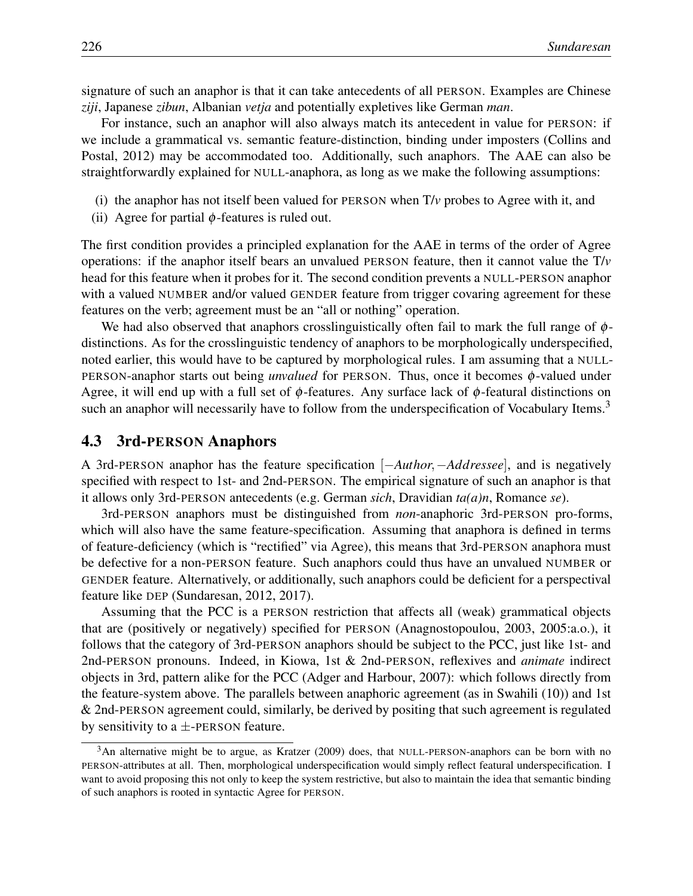signature of such an anaphor is that it can take antecedents of all PERSON. Examples are Chinese *ziji*, Japanese *zibun*, Albanian *vetja* and potentially expletives like German *man*.

For instance, such an anaphor will also always match its antecedent in value for PERSON: if we include a grammatical vs. semantic feature-distinction, binding under imposters (Collins and Postal, 2012) may be accommodated too. Additionally, such anaphors. The AAE can also be straightforwardly explained for NULL-anaphora, as long as we make the following assumptions:

- (i) the anaphor has not itself been valued for PERSON when  $T/\nu$  probes to Agree with it, and
- (ii) Agree for partial  $\phi$ -features is ruled out.

The first condition provides a principled explanation for the AAE in terms of the order of Agree operations: if the anaphor itself bears an unvalued PERSON feature, then it cannot value the T/*v* head for this feature when it probes for it. The second condition prevents a NULL-PERSON anaphor with a valued NUMBER and/or valued GENDER feature from trigger covaring agreement for these features on the verb; agreement must be an "all or nothing" operation.

We had also observed that anaphors crosslinguistically often fail to mark the full range of  $\phi$ distinctions. As for the crosslinguistic tendency of anaphors to be morphologically underspecified, noted earlier, this would have to be captured by morphological rules. I am assuming that a NULL-PERSON-anaphor starts out being *unvalued* for PERSON. Thus, once it becomes φ-valued under Agree, it will end up with a full set of  $\phi$ -features. Any surface lack of  $\phi$ -featural distinctions on such an anaphor will necessarily have to follow from the underspecification of Vocabulary Items.<sup>3</sup>

#### 4.3 3rd-PERSON Anaphors

A 3rd-PERSON anaphor has the feature specification [−*Author,*−*Addressee*], and is negatively specified with respect to 1st- and 2nd-PERSON. The empirical signature of such an anaphor is that it allows only 3rd-PERSON antecedents (e.g. German *sich*, Dravidian *ta(a)n*, Romance *se*).

3rd-PERSON anaphors must be distinguished from *non*-anaphoric 3rd-PERSON pro-forms, which will also have the same feature-specification. Assuming that anaphora is defined in terms of feature-deficiency (which is "rectified" via Agree), this means that 3rd-PERSON anaphora must be defective for a non-PERSON feature. Such anaphors could thus have an unvalued NUMBER or GENDER feature. Alternatively, or additionally, such anaphors could be deficient for a perspectival feature like DEP (Sundaresan, 2012, 2017).

Assuming that the PCC is a PERSON restriction that affects all (weak) grammatical objects that are (positively or negatively) specified for PERSON (Anagnostopoulou, 2003, 2005:a.o.), it follows that the category of 3rd-PERSON anaphors should be subject to the PCC, just like 1st- and 2nd-PERSON pronouns. Indeed, in Kiowa, 1st & 2nd-PERSON, reflexives and *animate* indirect objects in 3rd, pattern alike for the PCC (Adger and Harbour, 2007): which follows directly from the feature-system above. The parallels between anaphoric agreement (as in Swahili (10)) and 1st & 2nd-PERSON agreement could, similarly, be derived by positing that such agreement is regulated by sensitivity to a  $\pm$ -PERSON feature.

<sup>&</sup>lt;sup>3</sup>An alternative might be to argue, as Kratzer (2009) does, that NULL-PERSON-anaphors can be born with no PERSON-attributes at all. Then, morphological underspecification would simply reflect featural underspecification. I want to avoid proposing this not only to keep the system restrictive, but also to maintain the idea that semantic binding of such anaphors is rooted in syntactic Agree for PERSON.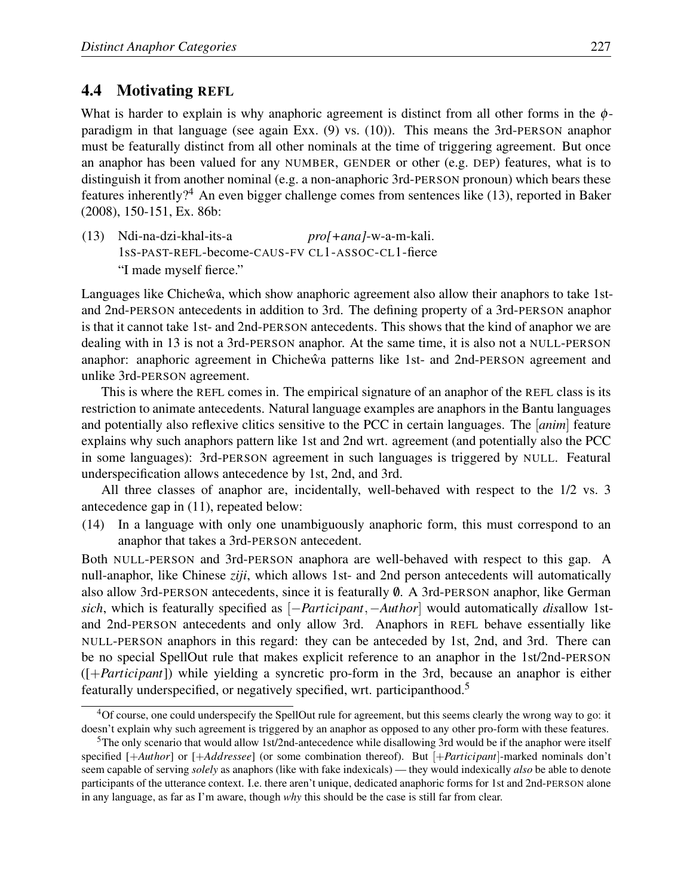## 4.4 Motivating REFL

What is harder to explain is why anaphoric agreement is distinct from all other forms in the  $\phi$ paradigm in that language (see again Exx. (9) vs. (10)). This means the 3rd-PERSON anaphor must be featurally distinct from all other nominals at the time of triggering agreement. But once an anaphor has been valued for any NUMBER, GENDER or other (e.g. DEP) features, what is to distinguish it from another nominal (e.g. a non-anaphoric 3rd-PERSON pronoun) which bears these features inherently?<sup>4</sup> An even bigger challenge comes from sentences like (13), reported in Baker (2008), 150-151, Ex. 86b:

(13) Ndi-na-dzi-khal-its-a 1sS-PAST-REFL-become-CAUS-FV CL1-ASSOC-CL1-fierce *pro[+ana]*-w-a-m-kali. "I made myself fierce."

Languages like Chicheŵa, which show anaphoric agreement also allow their anaphors to take 1stand 2nd-PERSON antecedents in addition to 3rd. The defining property of a 3rd-PERSON anaphor is that it cannot take 1st- and 2nd-PERSON antecedents. This shows that the kind of anaphor we are dealing with in 13 is not a 3rd-PERSON anaphor. At the same time, it is also not a NULL-PERSON anaphor: anaphoric agreement in Chichewa patterns like 1st- and 2nd-PERSON agreement and unlike 3rd-PERSON agreement.

This is where the REFL comes in. The empirical signature of an anaphor of the REFL class is its restriction to animate antecedents. Natural language examples are anaphors in the Bantu languages and potentially also reflexive clitics sensitive to the PCC in certain languages. The [*anim*] feature explains why such anaphors pattern like 1st and 2nd wrt. agreement (and potentially also the PCC in some languages): 3rd-PERSON agreement in such languages is triggered by NULL. Featural underspecification allows antecedence by 1st, 2nd, and 3rd.

All three classes of anaphor are, incidentally, well-behaved with respect to the 1/2 vs. 3 antecedence gap in (11), repeated below:

(14) In a language with only one unambiguously anaphoric form, this must correspond to an anaphor that takes a 3rd-PERSON antecedent.

Both NULL-PERSON and 3rd-PERSON anaphora are well-behaved with respect to this gap. A null-anaphor, like Chinese *ziji*, which allows 1st- and 2nd person antecedents will automatically also allow 3rd-PERSON antecedents, since it is featurally  $\emptyset$ . A 3rd-PERSON anaphor, like German *sich*, which is featurally specified as [−*Participant,*−*Author*] would automatically *dis*allow 1stand 2nd-PERSON antecedents and only allow 3rd. Anaphors in REFL behave essentially like NULL-PERSON anaphors in this regard: they can be anteceded by 1st, 2nd, and 3rd. There can be no special SpellOut rule that makes explicit reference to an anaphor in the 1st/2nd-PERSON ([+*Participant*]) while yielding a syncretic pro-form in the 3rd, because an anaphor is either featurally underspecified, or negatively specified, wrt. participanthood.5

<sup>4</sup>Of course, one could underspecify the SpellOut rule for agreement, but this seems clearly the wrong way to go: it doesn't explain why such agreement is triggered by an anaphor as opposed to any other pro-form with these features.

<sup>5</sup>The only scenario that would allow 1st/2nd-antecedence while disallowing 3rd would be if the anaphor were itself specified [+*Author*] or [+*Addressee*] (or some combination thereof). But [+*Participant*]-marked nominals don't seem capable of serving *solely* as anaphors (like with fake indexicals) — they would indexically *also* be able to denote participants of the utterance context. I.e. there aren't unique, dedicated anaphoric forms for 1st and 2nd-PERSON alone in any language, as far as I'm aware, though *why* this should be the case is still far from clear.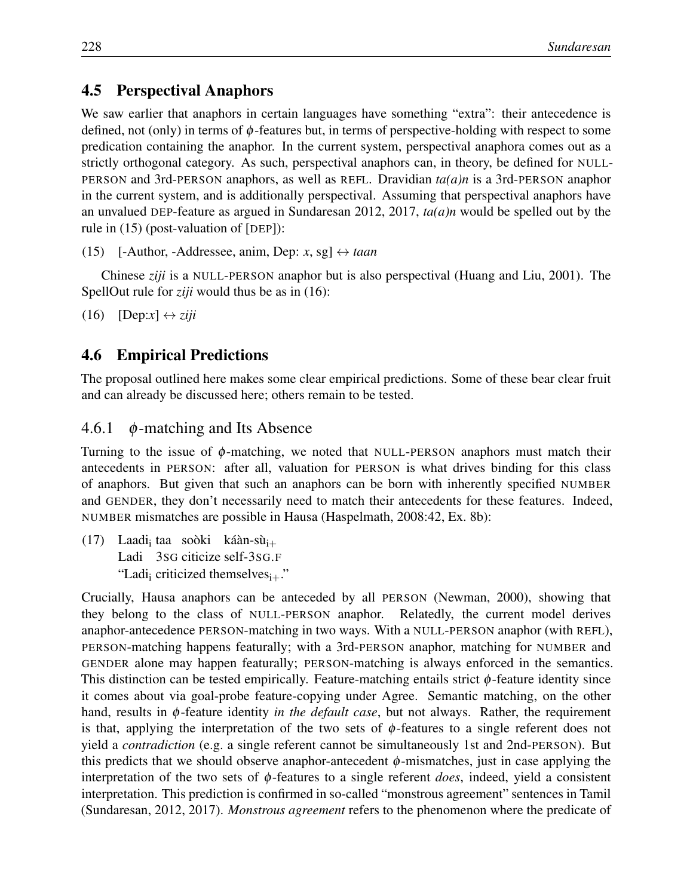## 4.5 Perspectival Anaphors

We saw earlier that anaphors in certain languages have something "extra": their antecedence is defined, not (only) in terms of φ-features but, in terms of perspective-holding with respect to some predication containing the anaphor. In the current system, perspectival anaphora comes out as a strictly orthogonal category. As such, perspectival anaphors can, in theory, be defined for NULL-PERSON and 3rd-PERSON anaphors, as well as REFL. Dravidian *ta(a)n* is a 3rd-PERSON anaphor in the current system, and is additionally perspectival. Assuming that perspectival anaphors have an unvalued DEP-feature as argued in Sundaresan 2012, 2017, *ta(a)n* would be spelled out by the rule in (15) (post-valuation of [DEP]):

```
(15) [-Author, -Addressee, anim, Dep: x, sg] \leftrightarrow taan
```
Chinese *ziji* is a NULL-PERSON anaphor but is also perspectival (Huang and Liu, 2001). The SpellOut rule for *ziji* would thus be as in (16):

 $(16)$  [Dep:x]  $\leftrightarrow$  *ziji* 

## 4.6 Empirical Predictions

The proposal outlined here makes some clear empirical predictions. Some of these bear clear fruit and can already be discussed here; others remain to be tested.

## 4.6.1  $\phi$ -matching and Its Absence

Turning to the issue of  $\phi$ -matching, we noted that NULL-PERSON anaphors must match their antecedents in PERSON: after all, valuation for PERSON is what drives binding for this class of anaphors. But given that such an anaphors can be born with inherently specified NUMBER and GENDER, they don't necessarily need to match their antecedents for these features. Indeed, NUMBER mismatches are possible in Hausa (Haspelmath, 2008:42, Ex. 8b):

(17) Laadi<sub>i</sub> taa soòki káàn-sù<sub>i+</sub> Ladi 3SG citicize self-3SG.F "Ladi<sub>i</sub> criticized themselves $_{i+}$ ."

Crucially, Hausa anaphors can be anteceded by all PERSON (Newman, 2000), showing that they belong to the class of NULL-PERSON anaphor. Relatedly, the current model derives anaphor-antecedence PERSON-matching in two ways. With a NULL-PERSON anaphor (with REFL), PERSON-matching happens featurally; with a 3rd-PERSON anaphor, matching for NUMBER and GENDER alone may happen featurally; PERSON-matching is always enforced in the semantics. This distinction can be tested empirically. Feature-matching entails strict  $\phi$ -feature identity since it comes about via goal-probe feature-copying under Agree. Semantic matching, on the other hand, results in φ-feature identity *in the default case*, but not always. Rather, the requirement is that, applying the interpretation of the two sets of  $\phi$ -features to a single referent does not yield a *contradiction* (e.g. a single referent cannot be simultaneously 1st and 2nd-PERSON). But this predicts that we should observe anaphor-antecedent  $\phi$ -mismatches, just in case applying the interpretation of the two sets of φ-features to a single referent *does*, indeed, yield a consistent interpretation. This prediction is confirmed in so-called "monstrous agreement" sentences in Tamil (Sundaresan, 2012, 2017). *Monstrous agreement* refers to the phenomenon where the predicate of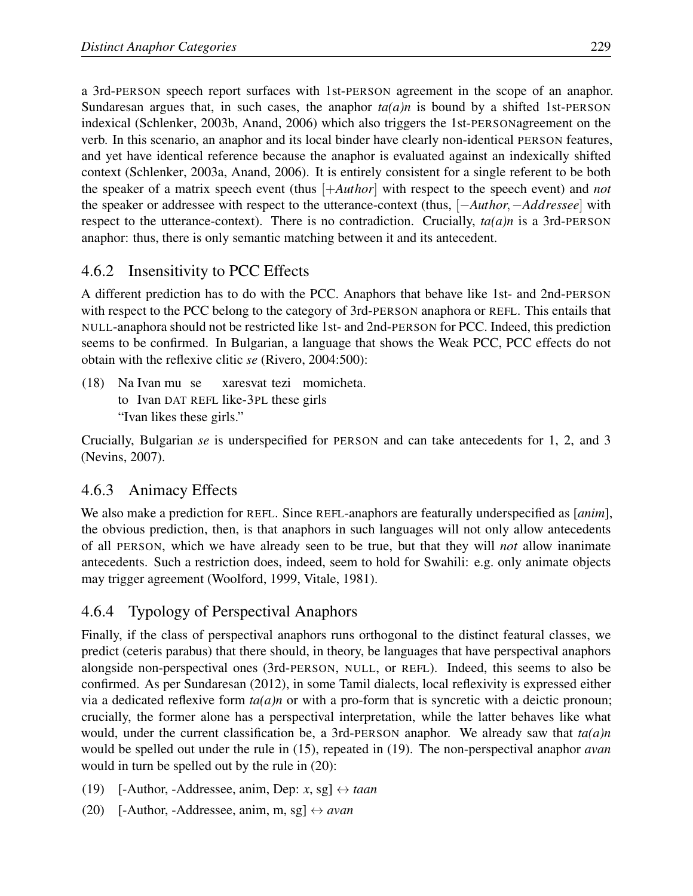a 3rd-PERSON speech report surfaces with 1st-PERSON agreement in the scope of an anaphor. Sundaresan argues that, in such cases, the anaphor  $ta(a)n$  is bound by a shifted 1st-PERSON indexical (Schlenker, 2003b, Anand, 2006) which also triggers the 1st-PERSONagreement on the verb. In this scenario, an anaphor and its local binder have clearly non-identical PERSON features, and yet have identical reference because the anaphor is evaluated against an indexically shifted context (Schlenker, 2003a, Anand, 2006). It is entirely consistent for a single referent to be both the speaker of a matrix speech event (thus [+*Author*] with respect to the speech event) and *not* the speaker or addressee with respect to the utterance-context (thus, [−*Author,*−*Addressee*] with respect to the utterance-context). There is no contradiction. Crucially, *ta(a)n* is a 3rd-PERSON anaphor: thus, there is only semantic matching between it and its antecedent.

## 4.6.2 Insensitivity to PCC Effects

A different prediction has to do with the PCC. Anaphors that behave like 1st- and 2nd-PERSON with respect to the PCC belong to the category of 3rd-PERSON anaphora or REFL. This entails that NULL-anaphora should not be restricted like 1st- and 2nd-PERSON for PCC. Indeed, this prediction seems to be confirmed. In Bulgarian, a language that shows the Weak PCC, PCC effects do not obtain with the reflexive clitic *se* (Rivero, 2004:500):

(18) Na Ivan mu se to Ivan DAT REFL like-3PL these girls xaresvat tezi momicheta. "Ivan likes these girls."

Crucially, Bulgarian *se* is underspecified for PERSON and can take antecedents for 1, 2, and 3 (Nevins, 2007).

## 4.6.3 Animacy Effects

We also make a prediction for REFL. Since REFL-anaphors are featurally underspecified as [*anim*], the obvious prediction, then, is that anaphors in such languages will not only allow antecedents of all PERSON, which we have already seen to be true, but that they will *not* allow inanimate antecedents. Such a restriction does, indeed, seem to hold for Swahili: e.g. only animate objects may trigger agreement (Woolford, 1999, Vitale, 1981).

## 4.6.4 Typology of Perspectival Anaphors

Finally, if the class of perspectival anaphors runs orthogonal to the distinct featural classes, we predict (ceteris parabus) that there should, in theory, be languages that have perspectival anaphors alongside non-perspectival ones (3rd-PERSON, NULL, or REFL). Indeed, this seems to also be confirmed. As per Sundaresan (2012), in some Tamil dialects, local reflexivity is expressed either via a dedicated reflexive form  $ta(a)n$  or with a pro-form that is syncretic with a deictic pronoun; crucially, the former alone has a perspectival interpretation, while the latter behaves like what would, under the current classification be, a 3rd-PERSON anaphor. We already saw that *ta(a)n* would be spelled out under the rule in (15), repeated in (19). The non-perspectival anaphor *avan* would in turn be spelled out by the rule in (20):

- (19) [-Author, -Addressee, anim, Dep: *x*, sg]  $\leftrightarrow$  *taan*
- (20) [-Author, -Addressee, anim, m, sg]  $\leftrightarrow$  *avan*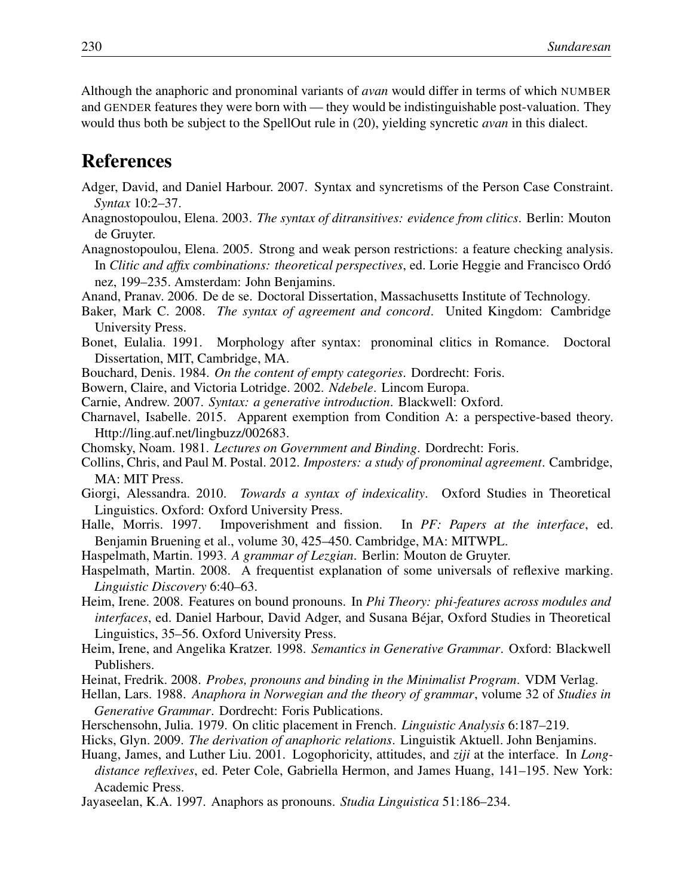Although the anaphoric and pronominal variants of *avan* would differ in terms of which NUMBER and GENDER features they were born with — they would be indistinguishable post-valuation. They would thus both be subject to the SpellOut rule in (20), yielding syncretic *avan* in this dialect.

## References

- Adger, David, and Daniel Harbour. 2007. Syntax and syncretisms of the Person Case Constraint. *Syntax* 10:2–37.
- Anagnostopoulou, Elena. 2003. *The syntax of ditransitives: evidence from clitics*. Berlin: Mouton de Gruyter.
- Anagnostopoulou, Elena. 2005. Strong and weak person restrictions: a feature checking analysis. In *Clitic and affix combinations: theoretical perspectives*, ed. Lorie Heggie and Francisco Ordó nez, 199–235. Amsterdam: John Benjamins.
- Anand, Pranav. 2006. De de se. Doctoral Dissertation, Massachusetts Institute of Technology.
- Baker, Mark C. 2008. *The syntax of agreement and concord*. United Kingdom: Cambridge University Press.
- Bonet, Eulalia. 1991. Morphology after syntax: pronominal clitics in Romance. Doctoral Dissertation, MIT, Cambridge, MA.
- Bouchard, Denis. 1984. *On the content of empty categories*. Dordrecht: Foris.
- Bowern, Claire, and Victoria Lotridge. 2002. *Ndebele*. Lincom Europa.
- Carnie, Andrew. 2007. *Syntax: a generative introduction*. Blackwell: Oxford.
- Charnavel, Isabelle. 2015. Apparent exemption from Condition A: a perspective-based theory. Http://ling.auf.net/lingbuzz/002683.
- Chomsky, Noam. 1981. *Lectures on Government and Binding*. Dordrecht: Foris.
- Collins, Chris, and Paul M. Postal. 2012. *Imposters: a study of pronominal agreement*. Cambridge, MA: MIT Press.
- Giorgi, Alessandra. 2010. *Towards a syntax of indexicality*. Oxford Studies in Theoretical Linguistics. Oxford: Oxford University Press.
- Halle, Morris. 1997. Impoverishment and fission. In *PF: Papers at the interface*, ed. Benjamin Bruening et al., volume 30, 425–450. Cambridge, MA: MITWPL.
- Haspelmath, Martin. 1993. *A grammar of Lezgian*. Berlin: Mouton de Gruyter.
- Haspelmath, Martin. 2008. A frequentist explanation of some universals of reflexive marking. *Linguistic Discovery* 6:40–63.
- Heim, Irene. 2008. Features on bound pronouns. In *Phi Theory: phi-features across modules and interfaces*, ed. Daniel Harbour, David Adger, and Susana Béjar, Oxford Studies in Theoretical Linguistics, 35–56. Oxford University Press.
- Heim, Irene, and Angelika Kratzer. 1998. *Semantics in Generative Grammar*. Oxford: Blackwell Publishers.
- Heinat, Fredrik. 2008. *Probes, pronouns and binding in the Minimalist Program*. VDM Verlag.
- Hellan, Lars. 1988. *Anaphora in Norwegian and the theory of grammar*, volume 32 of *Studies in Generative Grammar*. Dordrecht: Foris Publications.
- Herschensohn, Julia. 1979. On clitic placement in French. *Linguistic Analysis* 6:187–219.
- Hicks, Glyn. 2009. *The derivation of anaphoric relations*. Linguistik Aktuell. John Benjamins.
- Huang, James, and Luther Liu. 2001. Logophoricity, attitudes, and *ziji* at the interface. In *Longdistance reflexives*, ed. Peter Cole, Gabriella Hermon, and James Huang, 141–195. New York: Academic Press.
- Jayaseelan, K.A. 1997. Anaphors as pronouns. *Studia Linguistica* 51:186–234.